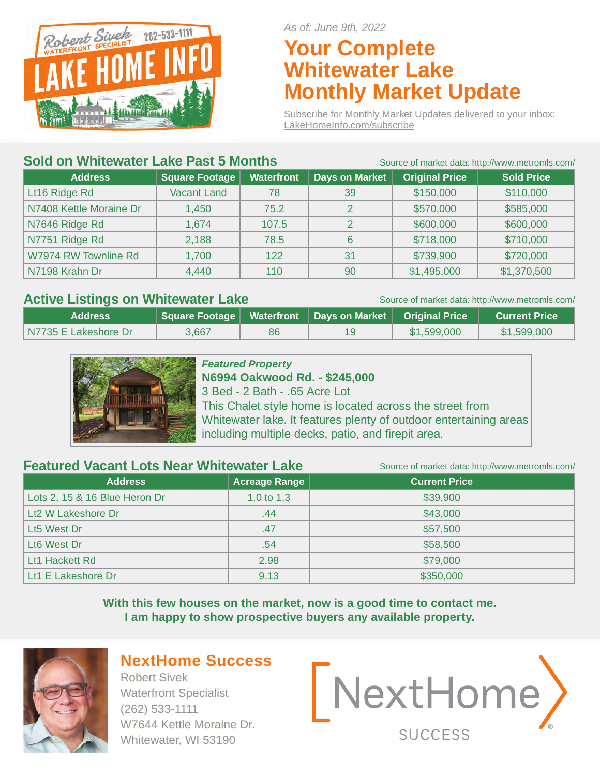

*As of: June 9th, 2022*

# **Your Complete Whitewater Lake Monthly Market Update**

Subscribe for Monthly Market Updates delivered to your inbox: LakeHomeInfo.com/subscribe

#### **Sold on Whitewater Lake Past 5 Months** Source of market data: http://www.metromls.com/

| <b>UUIW VII</b>         | <u>UUULUU ULIIIKU KUUULIILUJIIV WWW.IIIUUIIIIO.CUIII</u> |                   |                |                       |                   |
|-------------------------|----------------------------------------------------------|-------------------|----------------|-----------------------|-------------------|
| <b>Address</b>          | <b>Square Footage</b>                                    | <b>Waterfront</b> | Days on Market | <b>Original Price</b> | <b>Sold Price</b> |
| Lt16 Ridge Rd           | <b>Vacant Land</b>                                       | 78                | 39             | \$150,000             | \$110,000         |
| N7408 Kettle Moraine Dr | 1,450                                                    | 75.2              | 2              | \$570,000             | \$585,000         |
| N7646 Ridge Rd          | 1,674                                                    | 107.5             | 2              | \$600,000             | \$600,000         |
| N7751 Ridge Rd          | 2,188                                                    | 78.5              | 6              | \$718,000             | \$710,000         |
| W7974 RW Townline Rd    | 1,700                                                    | 122               | 31             | \$739,900             | \$720,000         |
| N7198 Krahn Dr          | 4,440                                                    | 110               | 90             | \$1,495,000           | \$1,370,500       |

#### Active Listings on Whitewater Lake Source of market data: http://www.metromls.com/

| <b>Address</b>       | Square Footage   Waterfront   Days on Market   Original Price |    |             | <b>Current Price</b> |
|----------------------|---------------------------------------------------------------|----|-------------|----------------------|
| N7735 E Lakeshore Dr | 3,667                                                         | 86 | \$1,599,000 | \$1,599,000          |



### *Featured Property*

**N6994 Oakwood Rd. - \$245,000** 3 Bed - 2 Bath - .65 Acre Lot This Chalet style home is located across the street from Whitewater lake. It features plenty of outdoor entertaining areas including multiple decks, patio, and firepit area.

#### **Featured Vacant Lots Near Whitewater Lake** Source of market data: http://www.metromls.com/

**Address Current Price 2018 Acreage Range** Lots 2, 15 & 16 Blue Heron Dr 1.0 to 1.3  $\sim$  1.0 to 1.3 \$39,900 Lt2 W Lakeshore Dr .44 \$43,000 Lt5 West Dr .47 \$57,500 Lt6 West Dr .54 \$58,500 Lt1 Hackett Rd 2.98 \$79,000 Lt1 E Lakeshore Dr  $9.13$   $9.13$  \$350,000

> **With this few houses on the market, now is a good time to contact me. I am happy to show prospective buyers any available property.**



# **NextHome Success**

Robert Sivek Waterfront Specialist (262) 533-1111 W7644 Kettle Moraine Dr. Whitewater, WI 53190